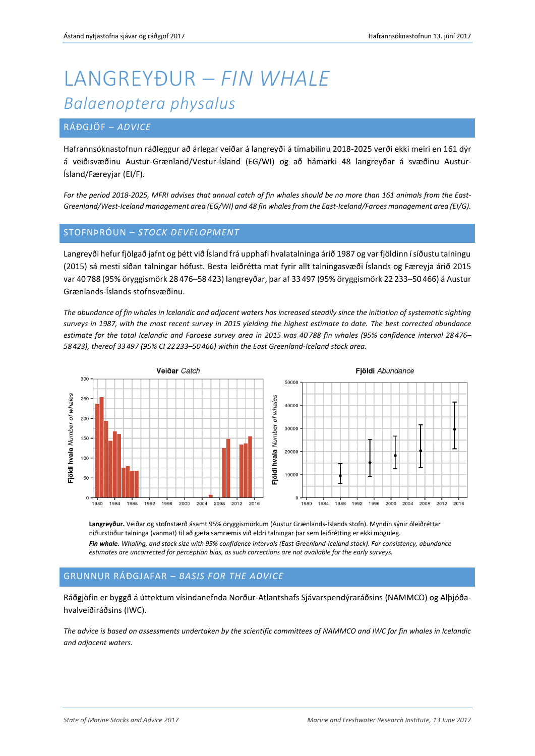# LANGREYÐUR – *FIN WHALE Balaenoptera physalus*

## RÁÐGJÖF – *ADVICE*

Hafrannsóknastofnun ráðleggur að árlegar veiðar á langreyði á tímabilinu 2018-2025 verði ekki meiri en 161 dýr á veiðisvæðinu Austur-Grænland/Vestur-Ísland (EG/WI) og að hámarki 48 langreyðar á svæðinu Austur-Ísland/Færeyjar (EI/F).

*For the period 2018-2025, MFRI advises that annual catch of fin whales should be no more than 161 animals from the East-Greenland/West-Iceland management area (EG/WI) and 48 fin whales from the East-Iceland/Faroes management area (EI/G).* 

### STOFNÞRÓUN – *STOCK DEVELOPMENT*

Langreyði hefur fjölgað jafnt og þétt við Ísland frá upphafi hvalatalninga árið 1987 og var fjöldinn í síðustu talningu (2015) sá mesti síðan talningar hófust. Besta leiðrétta mat fyrir allt talningasvæði Íslands og Færeyja árið 2015 var 40 788 (95% öryggismörk 28 476–58 423) langreyðar, þar af 33497 (95% öryggismörk 22 233–50 466) á Austur Grænlands-Íslands stofnsvæðinu.

*The abundance of fin whales in Icelandic and adjacent waters has increased steadily since the initiation of systematic sighting surveys in 1987, with the most recent survey in 2015 yielding the highest estimate to date. The best corrected abundance estimate for the total Icelandic and Faroese survey area in 2015 was 40 788 fin whales (95% confidence interval 28 476– 58 423), thereof 33 497 (95% CI 22 233–50 466) within the East Greenland-Iceland stock area.*



**Langreyður.** Veiðar og stofnstærð ásamt 95% öryggismörkum (Austur Grænlands-Íslands stofn). Myndin sýnir óleiðréttar niðurstöður talninga (vanmat) til að gæta samræmis við eldri talningar þar sem leiðrétting er ekki möguleg. *Fin whale. Whaling, and stock size with 95% confidence intervals (East Greenland-Iceland stock). For consistency, abundance estimates are uncorrected for perception bias, as such corrections are not available for the early surveys.* 

### GRUNNUR RÁÐGJAFAR – *BASIS FOR THE ADVICE*

Ráðgjöfin er byggð á úttektum vísindanefnda Norður-Atlantshafs Sjávarspendýraráðsins (NAMMCO) og Alþjóðahvalveiðiráðsins (IWC).

*The advice is based on assessments undertaken by the scientific committees of NAMMCO and IWC for fin whales in Icelandic and adjacent waters.*